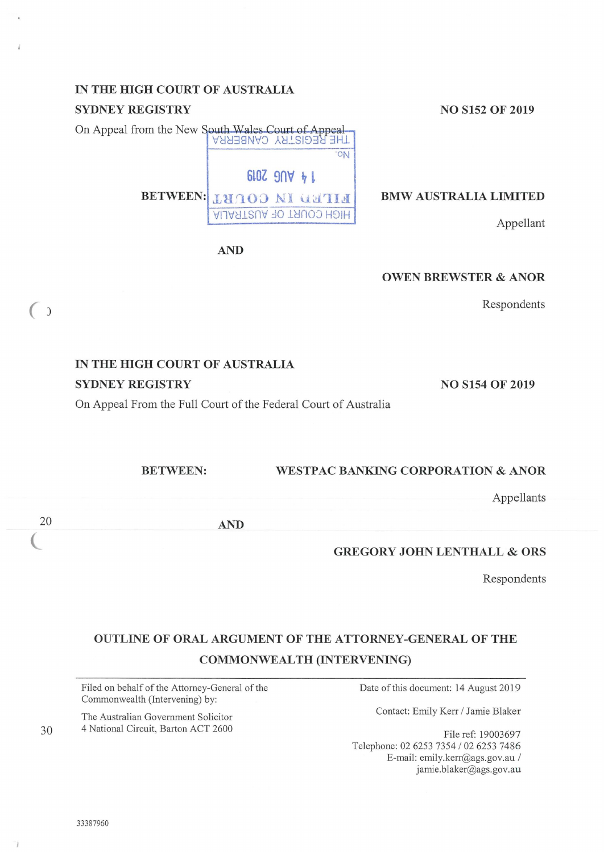# **IN THE HIGH COURT OF AUSTRALIA SYDNEY REGISTRY**

**NO S152 OF 2019** 

On Appeal from the New South Wales Court of Appeal **THE REGISTRY CANBERRA 'ON 6lOZ 9n\f** ~ **l**  BETWEEN: LHOO NI UDTIA HIGH COURT OF AUSTRALIA

Appellant

**AND** 

**OWEN BREWSTER & ANOR** 

**BMW AUSTRALIA LIMITED** 

Respondents

**NO S154 OF 2019** 

# **IN THE HIGH COURT OF AUSTRALIA SYDNEY REGISTRY**

On Appeal From the Full Court of the Federal Court of Australia

### **BETWEEN: WESTPAC BANKING CORPORATION & ANOR**

Appellants

20  $\overline{C}$ 

 $\begin{pmatrix} 1 \\ 2 \end{pmatrix}$ 

30

**AND** 

### **GREGORY JOHN LENTHALL & ORS**

Respondents

## **OUTLINE OF ORAL ARGUMENT OF THE ATTORNEY-GENERAL OF THE COMMONWEAL TH (INTERVENING)**

Filed on behalf of the Attorney-General of the Commonwealth (Intervening) by:

The Australian Government Solicitor 4 National Circuit, Barton ACT 2600 Date of this document: 14 August 2019

Contact: Emily Kerr / Jamie Blaker

File ref: 19003697 Telephone: 02 6253 7354 / 02 6253 7486 E-mail: emily.kerr@ags.gov.au / jamie.blaker@ags.gov.au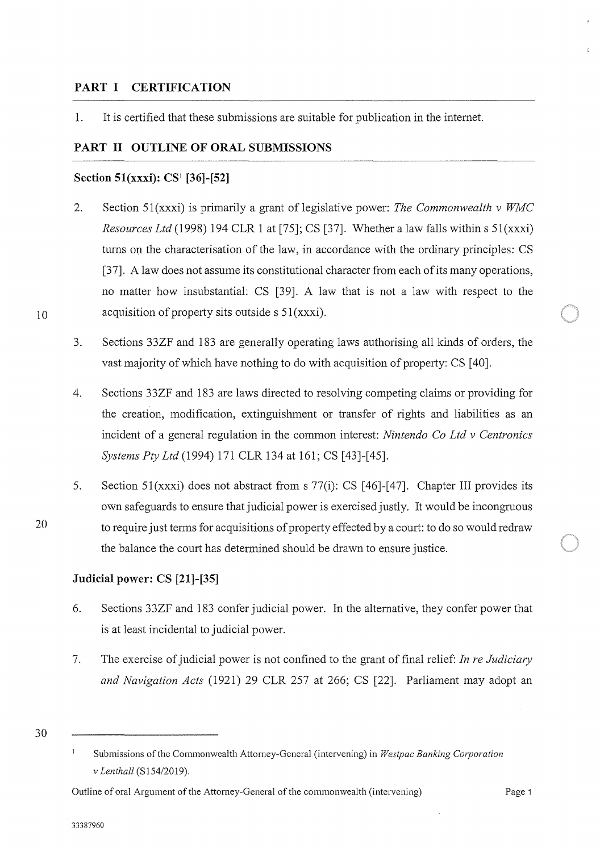#### **PART I CERTIFICATION**

1. It is certified that these submissions are suitable for publication in the internet.

#### **PART II OUTLINE OF ORAL SUBMISSIONS**

#### **Section 51(xxxi): CS1 [36]-[52]**

- 2. Section 5l(xxxi) is primarily a grant of legislative power: *The Commonwealth v WMC Resources Ltd* (1998) 194 CLR 1 at [75]; CS [37]. Whether a law falls within s 51(xxxi) turns on the characterisation of the law, in accordance with the ordinary principles: CS [37]. A law does not assume its constitutional character from each of its many operations, no matter how insubstantial: CS [39]. A law that is not a law with respect to the acquisition of property sits outside  $s \frac{51}{(xxxi)}$ .
- 3. Sections 33ZF and 183 are generally operating laws authorising all kinds of orders, the vast majority of which have nothing to do with acquisition of property: CS [ 40].
- 4. Sections 33ZF and 183 are laws directed to resolving competing claims or providing for the creation, modification, extinguishment or transfer of rights and liabilities as an incident of a general regulation in the common interest: *Nintendo Co Ltd v Centronics Systems Pty Ltd* (1994) 171 CLR 134 at 161; CS [43]-[45].
- 5. Section 51(xxxi) does not abstract from s 77(i): CS [46]-[47]. Chapter III provides its own safeguards to ensure that judicial power is exercised justly. It would be incongruous to require just terms for acquisitions of property effected by a court: to do so would redraw the balance the court has determined should be drawn to ensure justice.

#### **Judicial power: CS [21]-[35]**

- 6. Sections 33ZF and 183 confer judicial power. In the alternative, they confer power that is at least incidental to judicial power.
- 7. The exercise of judicial power is not confined to the grant of final relief: *In re Judiciary and Navigation Acts* (1921) 29 CLR 257 at 266; CS [22]. Parliament may adopt an

10

20

<sup>30</sup> 

 $\,1\,$ Submissions of the Commonwealth Attorney-General (intervening) in *Westpac Banking Corporation v Lenthall* (S154/2019).

Outline of oral Argument of the Attorney-General of the commonwealth (intervening)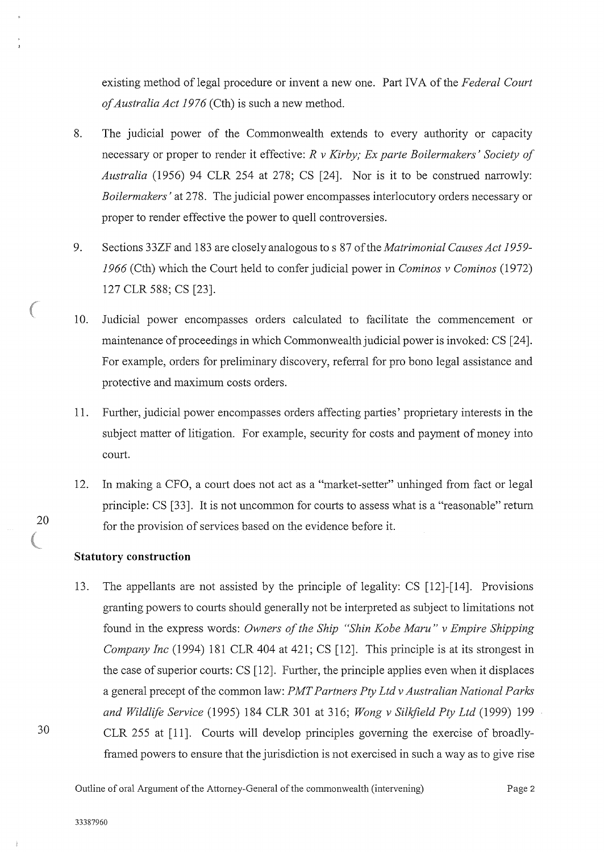existing method of legal procedure or invent a new one. Part IV A of the *Federal Court of Australia Act 1976* (Cth) is such a new method.

- 8. The judicial power of the Commonwealth extends to every authority or capacity necessary or proper to render it effective: *R v Kirby; Ex parte Boilermakers' Society of Australia* (1956) 94 CLR 254 at 278; CS [24]. Nor is it to be construed narrowly: *Boilermakers'* at 278. The judicial power encompasses interlocutory orders necessary or proper to render effective the power to quell controversies.
- 9. Sections 33ZF and 183 are closely analogous to s 87 of the *Matrimonial Causes Act 1959- 1966* (Cth) which the Court held to confer judicial power in *Caminos v Caminos* (1972) 127 CLR 588; CS [23].
- 10. Judicial power encompasses orders calculated to facilitate the commencement or maintenance of proceedings in which Commonwealth judicial power is invoked: CS [24]. For example, orders for preliminary discovery, referral for pro bono legal assistance and protective and maximum costs orders.
- 11. Further, judicial power encompasses orders affecting parties' proprietary interests in the subject matter of litigation. For example, security for costs and payment of money into court.
- 12. In making a CFO, a court does not act as a "market-setter" unhinged from fact or legal principle: CS [33]. It is not uncommon for courts to assess what is a "reasonable" return for the provision of services based on the evidence before it.

#### **Statutory construction**

13. The appellants are not assisted by the principle of legality: CS [12]-[14]. Provisions granting powers to courts should generally not be interpreted as subject to limitations not found in the express words: *Owners of the Ship "Shin Kobe Maru" v Empire Shipping Company Inc* (1994) 181 CLR 404 at 421; CS [12]. This principle is at its strongest in the case of superior courts: CS [12]. Further, the principle applies even when it displaces a general precept of the common law: *PMT Partners Pty Ltd v Australian National Parks and Wildlife Service* (1995) 184 CLR 301 at 316; *Wong v Sillifzeld Pty Ltd* (1999) 199 CLR 255 at [11]. Courts will develop principles governing the exercise of broadlyframed powers to ensure that the jurisdiction is not exercised in such a way as to give rise

30

20